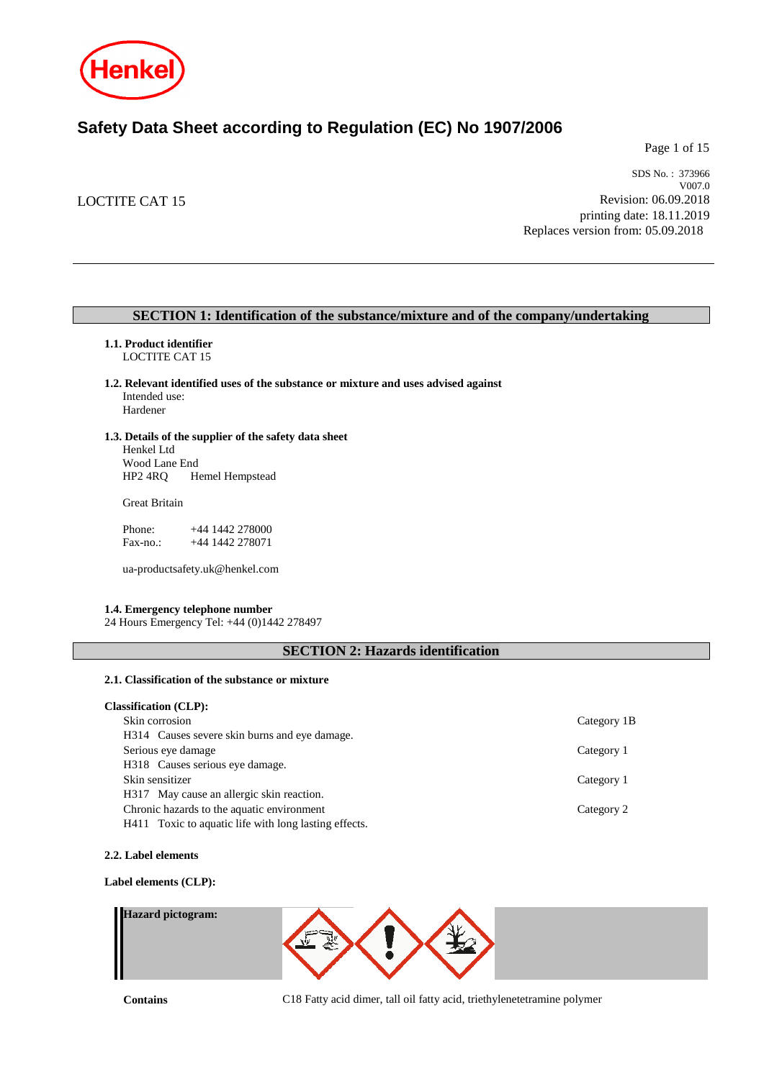

# **Safety Data Sheet according to Regulation (EC) No 1907/2006**

Page 1 of 15

# LOCTITE CAT 15

SDS No. : 373966 V007.0 Revision: 06.09.2018 printing date: 18.11.2019 Replaces version from: 05.09.2018

### **SECTION 1: Identification of the substance/mixture and of the company/undertaking**

- **1.1. Product identifier** LOCTITE CAT 15
- **1.2. Relevant identified uses of the substance or mixture and uses advised against** Intended use: Hardener
- **1.3. Details of the supplier of the safety data sheet** Henkel Ltd

Wood Lane End<br>HP2 4RQ H Hemel Hempstead

Great Britain

Phone: +44 1442 278000<br>Fax-no.: +44 1442 278071 +44 1442 278071

ua-productsafety.uk@henkel.com

### **1.4. Emergency telephone number**

24 Hours Emergency Tel: +44 (0)1442 278497

# **SECTION 2: Hazards identification**

### **2.1. Classification of the substance or mixture**

| <b>Classification (CLP):</b>                          |             |
|-------------------------------------------------------|-------------|
| Skin corrosion                                        | Category 1B |
| H314 Causes severe skin burns and eve damage.         |             |
| Serious eye damage                                    | Category 1  |
| H318 Causes serious eye damage.                       |             |
| Skin sensitizer                                       | Category 1  |
| H317 May cause an allergic skin reaction.             |             |
| Chronic hazards to the aquatic environment            | Category 2  |
| H411 Toxic to aquatic life with long lasting effects. |             |

#### **2.2. Label elements**

#### **Label elements (CLP):**

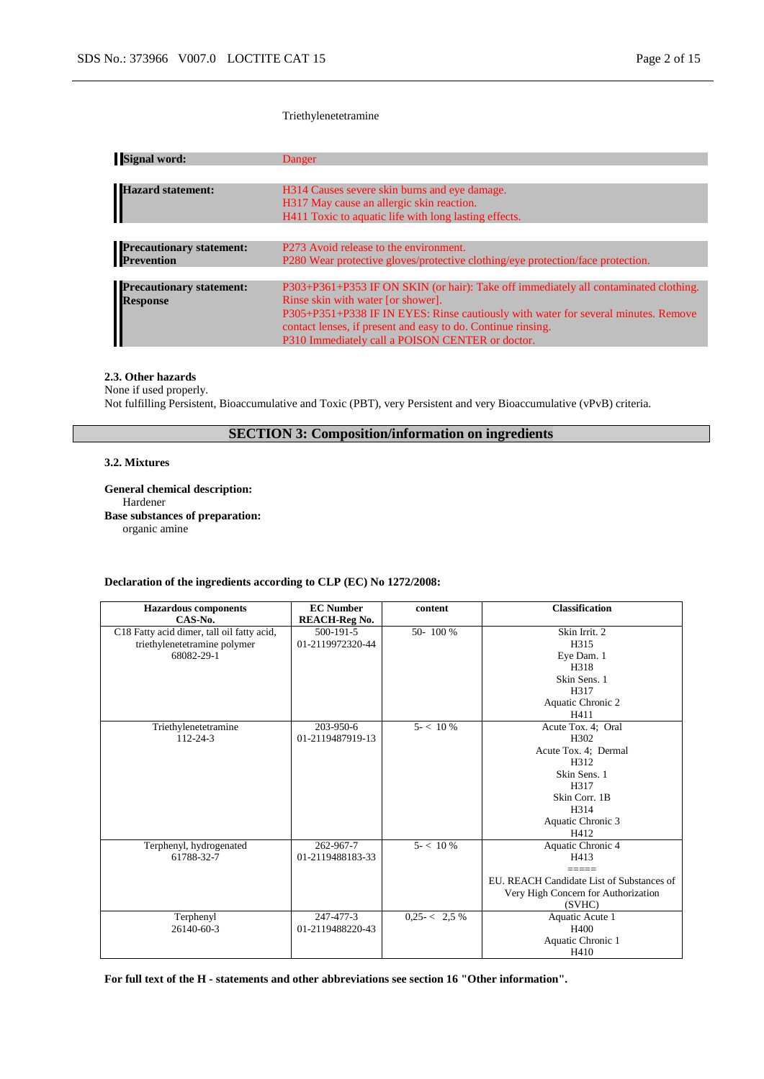#### Triethylenetetramine

| Danger                                                                               |
|--------------------------------------------------------------------------------------|
|                                                                                      |
| H314 Causes severe skin burns and eye damage.                                        |
| H317 May cause an allergic skin reaction.                                            |
| H411 Toxic to aquatic life with long lasting effects.                                |
|                                                                                      |
| P273 Avoid release to the environment.                                               |
| P280 Wear protective gloves/protective clothing/eye protection/face protection.      |
|                                                                                      |
| P303+P361+P353 IF ON SKIN (or hair): Take off immediately all contaminated clothing. |
| Rinse skin with water [or shower].                                                   |
| P305+P351+P338 IF IN EYES: Rinse cautiously with water for several minutes. Remove   |
| contact lenses, if present and easy to do. Continue rinsing.                         |
| P310 Immediately call a POISON CENTER or doctor.                                     |
|                                                                                      |

#### **2.3. Other hazards**

None if used properly. Not fulfilling Persistent, Bioaccumulative and Toxic (PBT), very Persistent and very Bioaccumulative (vPvB) criteria.

# **SECTION 3: Composition/information on ingredients**

#### **3.2. Mixtures**

**General chemical description:** Hardener **Base substances of preparation:** organic amine

#### **Declaration of the ingredients according to CLP (EC) No 1272/2008:**

| <b>Hazardous</b> components                | <b>EC</b> Number     | content         | <b>Classification</b>                     |
|--------------------------------------------|----------------------|-----------------|-------------------------------------------|
| CAS-No.                                    | <b>REACH-Reg No.</b> |                 |                                           |
| C18 Fatty acid dimer, tall oil fatty acid, | $500 - 191 - 5$      | 50-100 %        | Skin Irrit. 2                             |
| triethylenetetramine polymer               | 01-2119972320-44     |                 | H315                                      |
| 68082-29-1                                 |                      |                 | Eye Dam. 1                                |
|                                            |                      |                 | H318                                      |
|                                            |                      |                 | Skin Sens. 1                              |
|                                            |                      |                 | H317                                      |
|                                            |                      |                 | Aquatic Chronic 2                         |
|                                            |                      |                 | H411                                      |
| Triethylenetetramine                       | $203 - 950 - 6$      | $5 - 10\%$      | Acute Tox. 4; Oral                        |
| $112 - 24 - 3$                             | 01-2119487919-13     |                 | H302                                      |
|                                            |                      |                 | Acute Tox. 4; Dermal                      |
|                                            |                      |                 | H312                                      |
|                                            |                      |                 | Skin Sens. 1                              |
|                                            |                      |                 | H317                                      |
|                                            |                      |                 | Skin Corr. 1B                             |
|                                            |                      |                 | H314                                      |
|                                            |                      |                 | Aquatic Chronic 3                         |
|                                            |                      |                 | H412                                      |
| Terphenyl, hydrogenated                    | 262-967-7            | $5 - 10\%$      | Aquatic Chronic 4                         |
| 61788-32-7                                 | 01-2119488183-33     |                 | H413                                      |
|                                            |                      |                 |                                           |
|                                            |                      |                 | EU. REACH Candidate List of Substances of |
|                                            |                      |                 | Very High Concern for Authorization       |
|                                            |                      |                 | (SVHC)                                    |
| Terphenyl                                  | 247-477-3            | $0.25 < 2.5 \%$ | Aquatic Acute 1                           |
| 26140-60-3                                 | 01-2119488220-43     |                 | H400                                      |
|                                            |                      |                 | Aquatic Chronic 1                         |
|                                            |                      |                 | H410                                      |

**For full text of the H - statements and other abbreviations see section 16 "Other information".**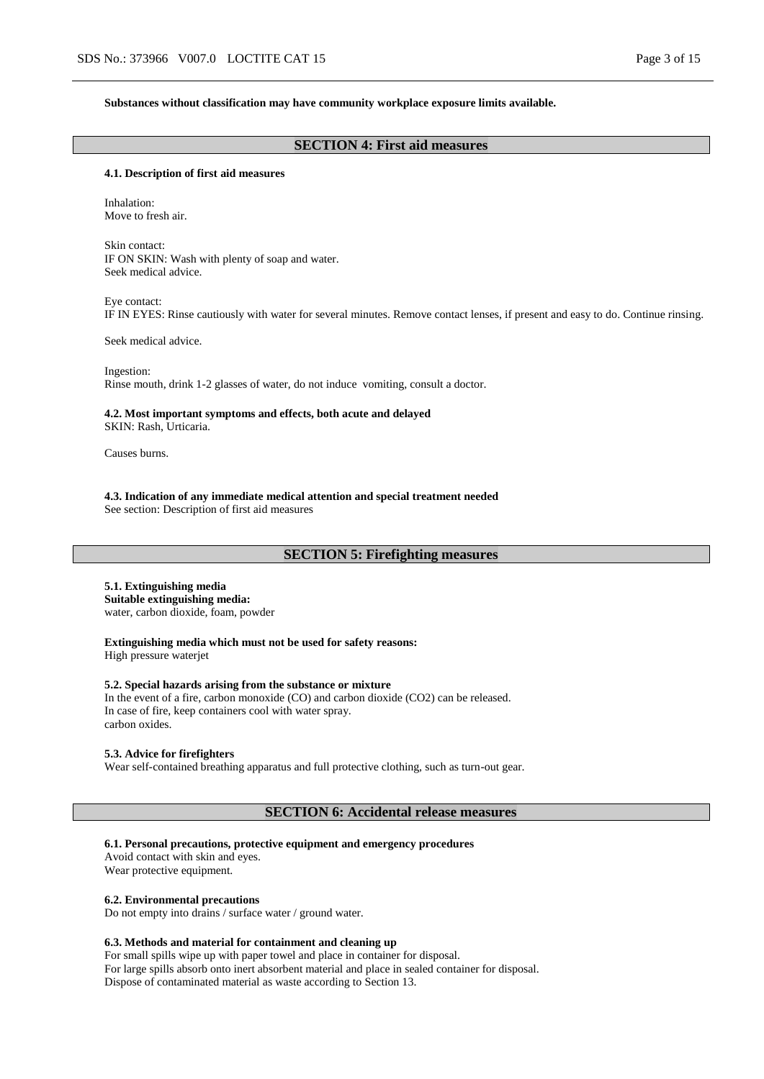#### **Substances without classification may have community workplace exposure limits available.**

# **SECTION 4: First aid measures**

#### **4.1. Description of first aid measures**

Inhalation: Move to fresh air.

Skin contact: IF ON SKIN: Wash with plenty of soap and water. Seek medical advice.

Eye contact: IF IN EYES: Rinse cautiously with water for several minutes. Remove contact lenses, if present and easy to do. Continue rinsing.

Seek medical advice.

Ingestion: Rinse mouth, drink 1-2 glasses of water, do not induce vomiting, consult a doctor.

**4.2. Most important symptoms and effects, both acute and delayed** SKIN: Rash, Urticaria.

Causes burns.

**4.3. Indication of any immediate medical attention and special treatment needed** See section: Description of first aid measures

### **SECTION 5: Firefighting measures**

### **5.1. Extinguishing media**

**Suitable extinguishing media:** water, carbon dioxide, foam, powder

**Extinguishing media which must not be used for safety reasons:** High pressure waterjet

#### **5.2. Special hazards arising from the substance or mixture**

In the event of a fire, carbon monoxide (CO) and carbon dioxide (CO2) can be released. In case of fire, keep containers cool with water spray. carbon oxides.

#### **5.3. Advice for firefighters**

Wear self-contained breathing apparatus and full protective clothing, such as turn-out gear.

#### **SECTION 6: Accidental release measures**

#### **6.1. Personal precautions, protective equipment and emergency procedures**

Avoid contact with skin and eyes. Wear protective equipment.

#### **6.2. Environmental precautions**

Do not empty into drains / surface water / ground water.

#### **6.3. Methods and material for containment and cleaning up**

For small spills wipe up with paper towel and place in container for disposal. For large spills absorb onto inert absorbent material and place in sealed container for disposal. Dispose of contaminated material as waste according to Section 13.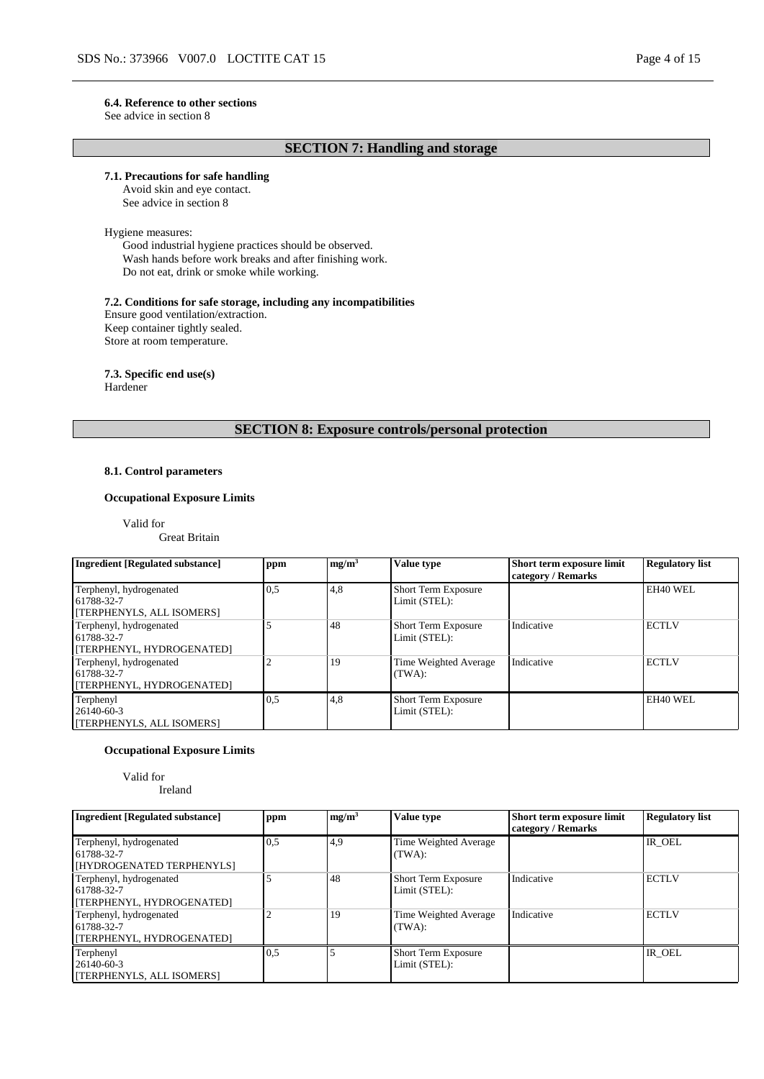#### **6.4. Reference to other sections**

See advice in section 8

# **SECTION 7: Handling and storage**

### **7.1. Precautions for safe handling**

Avoid skin and eye contact. See advice in section 8

#### Hygiene measures:

Good industrial hygiene practices should be observed. Wash hands before work breaks and after finishing work. Do not eat, drink or smoke while working.

#### **7.2. Conditions for safe storage, including any incompatibilities**

Ensure good ventilation/extraction. Keep container tightly sealed. Store at room temperature.

#### **7.3. Specific end use(s)**

Hardener

### **SECTION 8: Exposure controls/personal protection**

#### **8.1. Control parameters**

### **Occupational Exposure Limits**

Valid for

Great Britain

| <b>Ingredient [Regulated substance]</b>                            | ppm | mg/m <sup>3</sup> | Value type                                  | Short term exposure limit<br>category / Remarks | <b>Regulatory list</b> |
|--------------------------------------------------------------------|-----|-------------------|---------------------------------------------|-------------------------------------------------|------------------------|
| Terphenyl, hydrogenated<br>61788-32-7<br>[TERPHENYLS, ALL ISOMERS] | 0.5 | 4,8               | <b>Short Term Exposure</b><br>Limit (STEL): |                                                 | EH40 WEL               |
| Terphenyl, hydrogenated<br>61788-32-7<br>[TERPHENYL, HYDROGENATED] |     | 48                | <b>Short Term Exposure</b><br>Limit (STEL): | Indicative                                      | <b>ECTLV</b>           |
| Terphenyl, hydrogenated<br>61788-32-7<br>[TERPHENYL, HYDROGENATED] |     | 19                | Time Weighted Average<br>(TWA):             | Indicative                                      | <b>ECTLV</b>           |
| Terphenyl<br>26140-60-3<br>[TERPHENYLS, ALL ISOMERS]               | 0.5 | 4,8               | <b>Short Term Exposure</b><br>Limit (STEL): |                                                 | EH40 WEL               |

#### **Occupational Exposure Limits**

Valid for Ireland

| <b>Ingredient [Regulated substance]</b>                            | ppm | mg/m <sup>3</sup> | <b>Value type</b>                           | Short term exposure limit<br>category / Remarks | <b>Regulatory list</b> |
|--------------------------------------------------------------------|-----|-------------------|---------------------------------------------|-------------------------------------------------|------------------------|
| Terphenyl, hydrogenated<br>61788-32-7<br>[HYDROGENATED TERPHENYLS] | 0.5 | 4,9               | Time Weighted Average<br>(TWA):             |                                                 | IR OEL                 |
| Terphenyl, hydrogenated<br>61788-32-7<br>[TERPHENYL, HYDROGENATED] |     | 48                | <b>Short Term Exposure</b><br>Limit (STEL): | Indicative                                      | <b>ECTLV</b>           |
| Terphenyl, hydrogenated<br>61788-32-7<br>[TERPHENYL, HYDROGENATED] |     | 19                | Time Weighted Average<br>(TWA):             | Indicative                                      | <b>ECTLV</b>           |
| Terphenyl<br>26140-60-3<br><b>TERPHENYLS, ALL ISOMERS1</b>         | 0.5 |                   | Short Term Exposure<br>Limit (STEL):        |                                                 | IR OEL                 |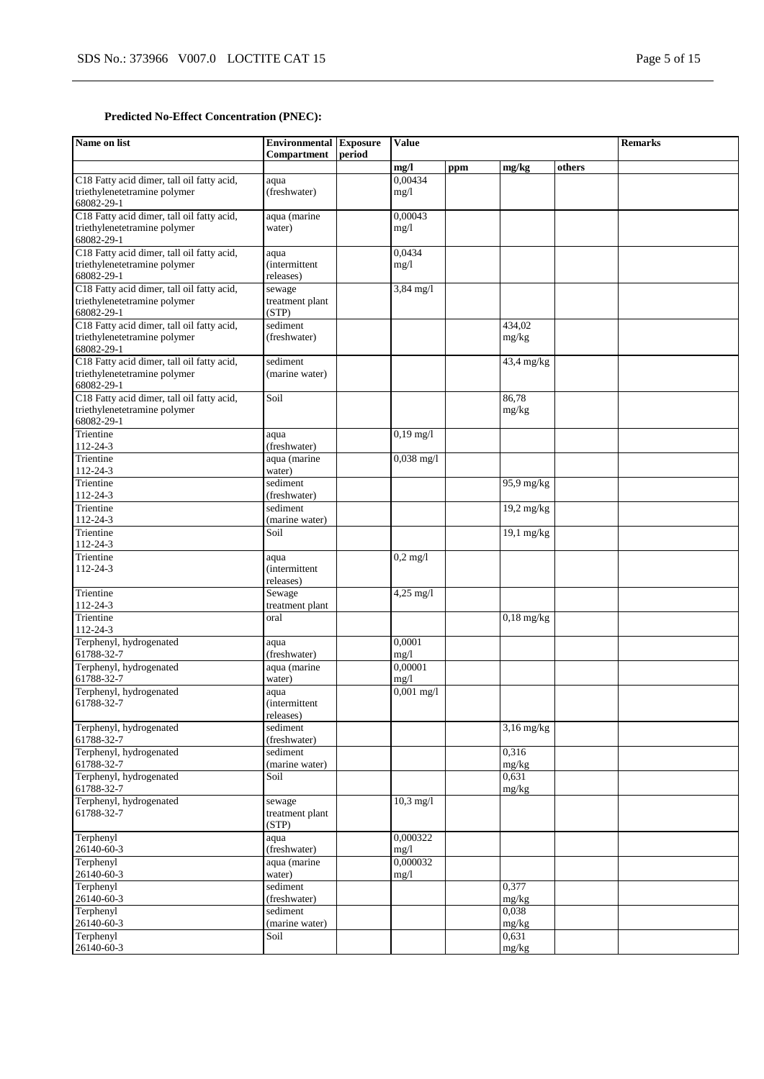# **Predicted No-Effect Concentration (PNEC):**

| Name on list                                                               | <b>Environmental Exposure</b><br>Compartment | period | <b>Value</b>         |     |              | <b>Remarks</b> |  |
|----------------------------------------------------------------------------|----------------------------------------------|--------|----------------------|-----|--------------|----------------|--|
|                                                                            |                                              |        | mg/l                 | ppm | mg/kg        | others         |  |
| C18 Fatty acid dimer, tall oil fatty acid,                                 | aqua                                         |        | 0,00434              |     |              |                |  |
| triethylenetetramine polymer                                               | (freshwater)                                 |        | mg/1                 |     |              |                |  |
| 68082-29-1                                                                 |                                              |        |                      |     |              |                |  |
| C18 Fatty acid dimer, tall oil fatty acid,                                 | aqua (marine                                 |        | 0,00043              |     |              |                |  |
| triethylenetetramine polymer                                               | water)                                       |        | mg/1                 |     |              |                |  |
| 68082-29-1                                                                 |                                              |        |                      |     |              |                |  |
| C18 Fatty acid dimer, tall oil fatty acid,<br>triethylenetetramine polymer | aqua<br><i>(intermittent)</i>                |        | 0,0434               |     |              |                |  |
| 68082-29-1                                                                 | releases)                                    |        | mg/1                 |     |              |                |  |
| C18 Fatty acid dimer, tall oil fatty acid,                                 | sewage                                       |        | 3,84 mg/l            |     |              |                |  |
| triethylenetetramine polymer                                               | treatment plant                              |        |                      |     |              |                |  |
| 68082-29-1                                                                 | (STP)                                        |        |                      |     |              |                |  |
| C18 Fatty acid dimer, tall oil fatty acid,                                 | sediment                                     |        |                      |     | 434,02       |                |  |
| triethylenetetramine polymer                                               | (freshwater)                                 |        |                      |     | mg/kg        |                |  |
| 68082-29-1                                                                 |                                              |        |                      |     |              |                |  |
| C18 Fatty acid dimer, tall oil fatty acid,                                 | sediment                                     |        |                      |     | 43,4 mg/kg   |                |  |
| triethylenetetramine polymer                                               | (marine water)                               |        |                      |     |              |                |  |
| 68082-29-1                                                                 |                                              |        |                      |     |              |                |  |
| C18 Fatty acid dimer, tall oil fatty acid,<br>triethylenetetramine polymer | Soil                                         |        |                      |     | 86,78        |                |  |
| 68082-29-1                                                                 |                                              |        |                      |     | mg/kg        |                |  |
| Trientine                                                                  | aqua                                         |        | $0,19$ mg/l          |     |              |                |  |
| 112-24-3                                                                   | (freshwater)                                 |        |                      |     |              |                |  |
| Trientine                                                                  | aqua (marine                                 |        | $0,038 \text{ mg}/1$ |     |              |                |  |
| 112-24-3                                                                   | water)                                       |        |                      |     |              |                |  |
| Trientine                                                                  | sediment                                     |        |                      |     | $95.9$ mg/kg |                |  |
| $112 - 24 - 3$                                                             | (freshwater)                                 |        |                      |     |              |                |  |
| Trientine                                                                  | sediment                                     |        |                      |     | 19,2 mg/kg   |                |  |
| 112-24-3                                                                   | (marine water)                               |        |                      |     |              |                |  |
| Trientine                                                                  | Soil                                         |        |                      |     | $19,1$ mg/kg |                |  |
| 112-24-3                                                                   |                                              |        |                      |     |              |                |  |
| Trientine<br>112-24-3                                                      | aqua<br><i>(intermittent)</i>                |        | $0,2$ mg/l           |     |              |                |  |
|                                                                            | releases)                                    |        |                      |     |              |                |  |
| Trientine                                                                  | Sewage                                       |        | $4,25$ mg/l          |     |              |                |  |
| 112-24-3                                                                   | treatment plant                              |        |                      |     |              |                |  |
| Trientine                                                                  | oral                                         |        |                      |     | $0,18$ mg/kg |                |  |
| 112-24-3                                                                   |                                              |        |                      |     |              |                |  |
| Terphenyl, hydrogenated                                                    | aqua                                         |        | 0,0001               |     |              |                |  |
| 61788-32-7                                                                 | (freshwater)                                 |        | mg/1                 |     |              |                |  |
| Terphenyl, hydrogenated                                                    | aqua (marine                                 |        | 0,00001              |     |              |                |  |
| 61788-32-7                                                                 | water)                                       |        | mg/1                 |     |              |                |  |
| Terphenyl, hydrogenated                                                    | aqua                                         |        | $0,001 \text{ mg}/1$ |     |              |                |  |
| 61788-32-7                                                                 | <i>(intermittent)</i><br>releases)           |        |                      |     |              |                |  |
| Terphenyl, hydrogenated                                                    | sediment                                     |        |                      |     | $3,16$ mg/kg |                |  |
| 61788-32-7                                                                 | (freshwater)                                 |        |                      |     |              |                |  |
| Terphenyl, hydrogenated                                                    | sediment                                     |        |                      |     | 0,316        |                |  |
| 61788-32-7                                                                 | (marine water)                               |        |                      |     | mg/kg        |                |  |
| Terphenyl, hydrogenated                                                    | Soil                                         |        |                      |     | 0,631        |                |  |
| 61788-32-7                                                                 |                                              |        |                      |     | mg/kg        |                |  |
| Terphenyl, hydrogenated                                                    | sewage                                       |        | $10,3 \text{ mg}/1$  |     |              |                |  |
| 61788-32-7                                                                 | treatment plant                              |        |                      |     |              |                |  |
|                                                                            | (STP)                                        |        |                      |     |              |                |  |
| Terphenyl                                                                  | aqua                                         |        | 0,000322             |     |              |                |  |
| 26140-60-3<br>Terphenyl                                                    | (freshwater)<br>aqua (marine                 |        | mg/1<br>0,000032     |     |              |                |  |
| 26140-60-3                                                                 | water)                                       |        | mg/1                 |     |              |                |  |
| Terphenyl                                                                  | sediment                                     |        |                      |     | 0,377        |                |  |
| 26140-60-3                                                                 | (freshwater)                                 |        |                      |     | mg/kg        |                |  |
| Terphenyl                                                                  | sediment                                     |        |                      |     | 0,038        |                |  |
| 26140-60-3                                                                 | (marine water)                               |        |                      |     | mg/kg        |                |  |
| Terphenyl                                                                  | Soil                                         |        |                      |     | 0,631        |                |  |
| 26140-60-3                                                                 |                                              |        |                      |     | mg/kg        |                |  |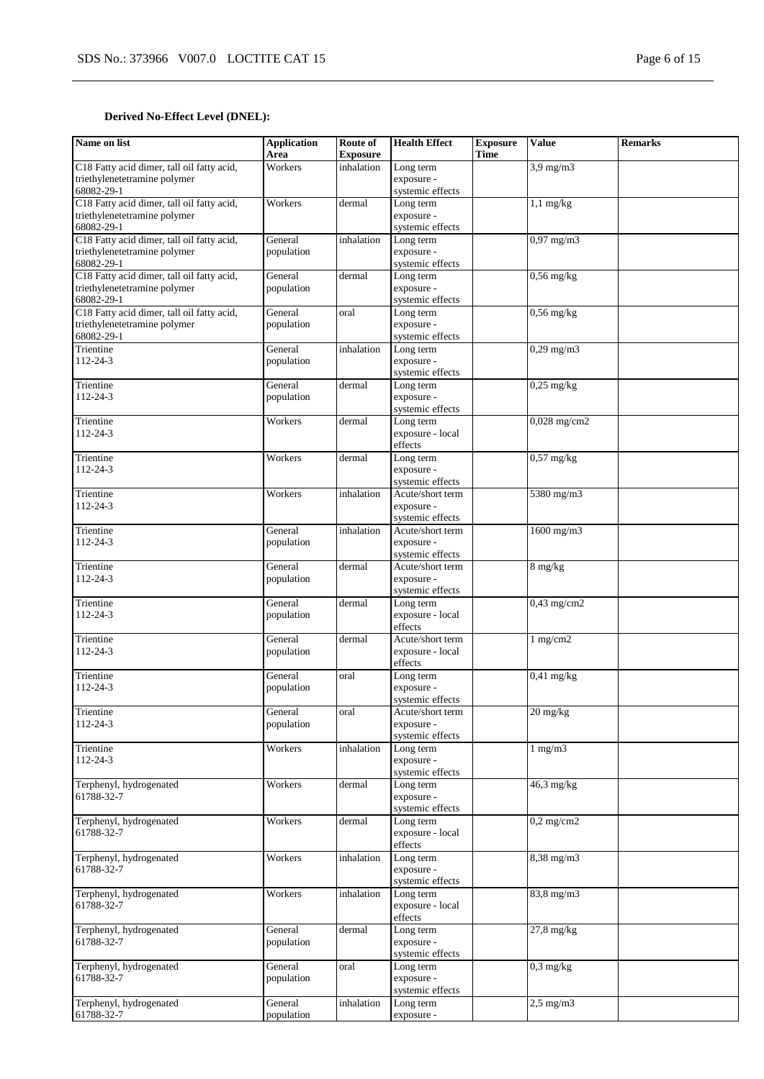# **Derived No-Effect Level (DNEL):**

| Name on list                                                               | <b>Application</b><br>Area | Route of<br><b>Exposure</b> | <b>Health Effect</b>           | <b>Exposure</b><br>Time | <b>Value</b>                     | <b>Remarks</b> |
|----------------------------------------------------------------------------|----------------------------|-----------------------------|--------------------------------|-------------------------|----------------------------------|----------------|
| C18 Fatty acid dimer, tall oil fatty acid,                                 | Workers                    | inhalation                  | Long term                      |                         | $3.9$ mg/m $3$                   |                |
| triethylenetetramine polymer                                               |                            |                             | exposure -                     |                         |                                  |                |
| 68082-29-1                                                                 |                            |                             | systemic effects               |                         |                                  |                |
| C18 Fatty acid dimer, tall oil fatty acid,                                 | Workers                    | dermal                      | Long term                      |                         | $1,1$ mg/kg                      |                |
| triethylenetetramine polymer                                               |                            |                             | exposure -                     |                         |                                  |                |
| 68082-29-1                                                                 |                            |                             | systemic effects               |                         |                                  |                |
| C18 Fatty acid dimer, tall oil fatty acid,<br>triethylenetetramine polymer | General<br>population      | inhalation                  | Long term<br>exposure -        |                         | $0,97$ mg/m3                     |                |
| 68082-29-1                                                                 |                            |                             | systemic effects               |                         |                                  |                |
| C18 Fatty acid dimer, tall oil fatty acid,                                 | General                    | dermal                      | Long term                      |                         | $0,56$ mg/kg                     |                |
| triethylenetetramine polymer                                               | population                 |                             | exposure -                     |                         |                                  |                |
| 68082-29-1                                                                 |                            |                             | systemic effects               |                         |                                  |                |
| C18 Fatty acid dimer, tall oil fatty acid,                                 | General                    | oral                        | Long term                      |                         | $0,56$ mg/kg                     |                |
| triethylenetetramine polymer                                               | population                 |                             | exposure -                     |                         |                                  |                |
| 68082-29-1                                                                 |                            |                             | systemic effects               |                         |                                  |                |
| Trientine<br>112-24-3                                                      | General<br>population      | inhalation                  | Long term<br>exposure -        |                         | $0,29$ mg/m $3$                  |                |
|                                                                            |                            |                             | systemic effects               |                         |                                  |                |
| Trientine                                                                  | General                    | dermal                      | Long term                      |                         | $0,25$ mg/kg                     |                |
| 112-24-3                                                                   | population                 |                             | exposure -                     |                         |                                  |                |
|                                                                            |                            |                             | systemic effects               |                         |                                  |                |
| Trientine                                                                  | Workers                    | dermal                      | Long term                      |                         | $0,028$ mg/cm2                   |                |
| 112-24-3                                                                   |                            |                             | exposure - local               |                         |                                  |                |
|                                                                            |                            |                             | effects                        |                         |                                  |                |
| Trientine                                                                  | Workers                    | dermal                      | Long term                      |                         | $0,57$ mg/kg                     |                |
| 112-24-3                                                                   |                            |                             | exposure -<br>systemic effects |                         |                                  |                |
| Trientine                                                                  | Workers                    | inhalation                  | Acute/short term               |                         | 5380 mg/m3                       |                |
| 112-24-3                                                                   |                            |                             | exposure -                     |                         |                                  |                |
|                                                                            |                            |                             | systemic effects               |                         |                                  |                |
| Trientine                                                                  | General                    | inhalation                  | Acute/short term               |                         | 1600 mg/m3                       |                |
| 112-24-3                                                                   | population                 |                             | exposure -                     |                         |                                  |                |
|                                                                            |                            |                             | systemic effects               |                         |                                  |                |
| Trientine                                                                  | General                    | dermal                      | Acute/short term               |                         | $8 \text{ mg/kg}$                |                |
| 112-24-3                                                                   | population                 |                             | exposure -<br>systemic effects |                         |                                  |                |
| Trientine                                                                  | General                    | dermal                      | Long term                      |                         | $0,43$ mg/cm2                    |                |
| 112-24-3                                                                   | population                 |                             | exposure - local               |                         |                                  |                |
|                                                                            |                            |                             | effects                        |                         |                                  |                |
| Trientine                                                                  | General                    | dermal                      | Acute/short term               |                         | 1 mg/cm2                         |                |
| 112-24-3                                                                   | population                 |                             | exposure - local               |                         |                                  |                |
|                                                                            |                            |                             | effects                        |                         |                                  |                |
| Trientine                                                                  | General                    | oral                        | Long term                      |                         | $0,41$ mg/kg                     |                |
| $112 - 24 - 3$                                                             | population                 |                             | exposure -<br>systemic effects |                         |                                  |                |
| Trientine                                                                  | General                    | oral                        | Acute/short term               |                         | $20 \frac{\text{mg}}{\text{kg}}$ |                |
| 112-24-3                                                                   | population                 |                             | exposure -                     |                         |                                  |                |
|                                                                            |                            |                             | systemic effects               |                         |                                  |                |
| Trientine                                                                  | Workers                    | inhalation                  | Long term                      |                         | $1$ mg/m $3$                     |                |
| 112-24-3                                                                   |                            |                             | exposure -                     |                         |                                  |                |
|                                                                            |                            |                             | systemic effects               |                         |                                  |                |
| Terphenyl, hydrogenated<br>61788-32-7                                      | Workers                    | dermal                      | Long term<br>exposure -        |                         | $46.3$ mg/kg                     |                |
|                                                                            |                            |                             | systemic effects               |                         |                                  |                |
| Terphenyl, hydrogenated                                                    | Workers                    | dermal                      | Long term                      |                         | $0,2$ mg/cm2                     |                |
| 61788-32-7                                                                 |                            |                             | exposure - local               |                         |                                  |                |
|                                                                            |                            |                             | effects                        |                         |                                  |                |
| Terphenyl, hydrogenated                                                    | Workers                    | inhalation                  | Long term                      |                         | 8,38 mg/m3                       |                |
| 61788-32-7                                                                 |                            |                             | exposure -                     |                         |                                  |                |
|                                                                            |                            |                             | systemic effects               |                         |                                  |                |
| Terphenyl, hydrogenated<br>61788-32-7                                      | Workers                    | inhalation                  | Long term<br>exposure - local  |                         | $83,8$ mg/m $3$                  |                |
|                                                                            |                            |                             | effects                        |                         |                                  |                |
| Terphenyl, hydrogenated                                                    | General                    | dermal                      | Long term                      |                         | $27,8$ mg/kg                     |                |
| 61788-32-7                                                                 | population                 |                             | exposure -                     |                         |                                  |                |
|                                                                            |                            |                             | systemic effects               |                         |                                  |                |
| Terphenyl, hydrogenated                                                    | General                    | oral                        | Long term                      |                         | $0,3$ mg/kg                      |                |
| 61788-32-7                                                                 | population                 |                             | exposure -                     |                         |                                  |                |
| Terphenyl, hydrogenated                                                    | General                    | inhalation                  | systemic effects<br>Long term  |                         | $2,5$ mg/m $3$                   |                |
| 61788-32-7                                                                 | population                 |                             | exposure -                     |                         |                                  |                |
|                                                                            |                            |                             |                                |                         |                                  |                |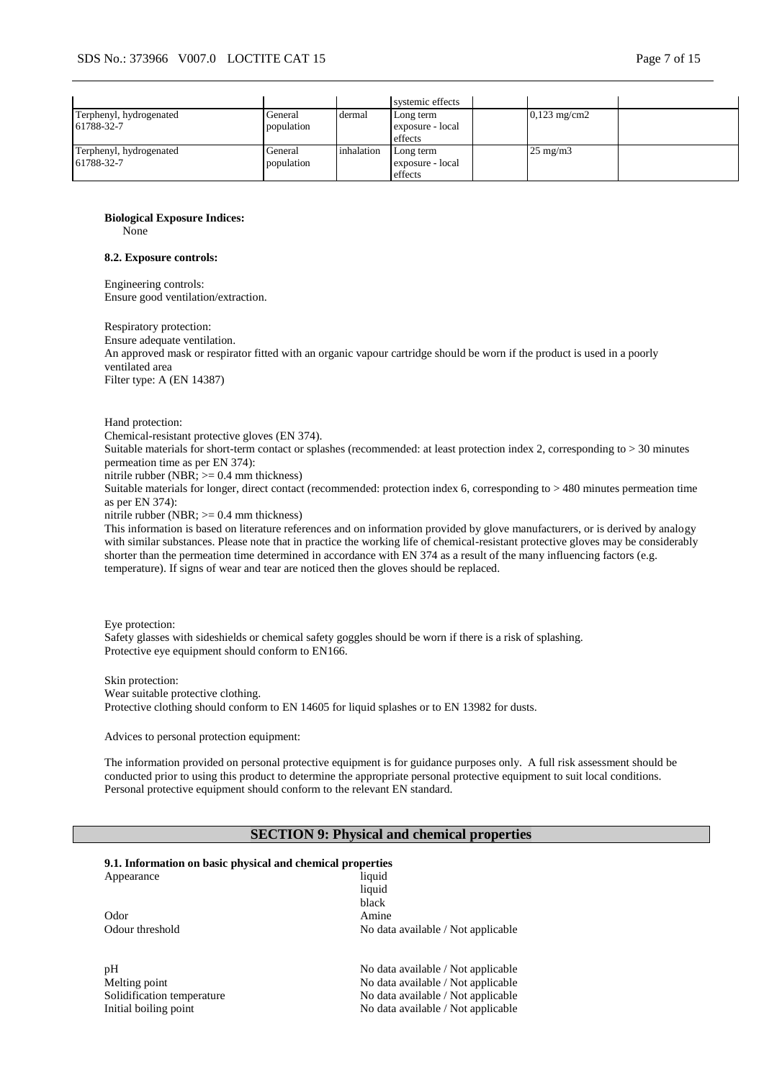|                                       |                       |            | systemic effects                         |                        |  |
|---------------------------------------|-----------------------|------------|------------------------------------------|------------------------|--|
| Terphenyl, hydrogenated<br>61788-32-7 | General<br>population | dermal     | Long term<br>exposure - local<br>effects | $0,123 \text{ mg/cm2}$ |  |
| Terphenyl, hydrogenated<br>61788-32-7 | General<br>population | inhalation | Long term<br>exposure - local<br>effects | $25 \text{ mg/m}$      |  |

**Biological Exposure Indices:**

None

#### **8.2. Exposure controls:**

Engineering controls: Ensure good ventilation/extraction.

Respiratory protection: Ensure adequate ventilation. An approved mask or respirator fitted with an organic vapour cartridge should be worn if the product is used in a poorly ventilated area Filter type: A (EN 14387)

Hand protection:

Chemical-resistant protective gloves (EN 374).

Suitable materials for short-term contact or splashes (recommended: at least protection index 2, corresponding to > 30 minutes permeation time as per EN 374):

nitrile rubber (NBR; >= 0.4 mm thickness)

Suitable materials for longer, direct contact (recommended: protection index 6, corresponding to > 480 minutes permeation time as per EN 374):

nitrile rubber (NBR;  $\geq$  0.4 mm thickness)

This information is based on literature references and on information provided by glove manufacturers, or is derived by analogy with similar substances. Please note that in practice the working life of chemical-resistant protective gloves may be considerably shorter than the permeation time determined in accordance with EN 374 as a result of the many influencing factors (e.g. temperature). If signs of wear and tear are noticed then the gloves should be replaced.

Eye protection: Safety glasses with sideshields or chemical safety goggles should be worn if there is a risk of splashing. Protective eye equipment should conform to EN166.

Skin protection: Wear suitable protective clothing. Protective clothing should conform to EN 14605 for liquid splashes or to EN 13982 for dusts.

Advices to personal protection equipment:

The information provided on personal protective equipment is for guidance purposes only. A full risk assessment should be conducted prior to using this product to determine the appropriate personal protective equipment to suit local conditions. Personal protective equipment should conform to the relevant EN standard.

### **SECTION 9: Physical and chemical properties**

|  | 9.1. Information on basic physical and chemical properties |  |  |  |  |  |
|--|------------------------------------------------------------|--|--|--|--|--|
|--|------------------------------------------------------------|--|--|--|--|--|

| Appearance      | liquid                             |
|-----------------|------------------------------------|
|                 | liquid                             |
|                 | black                              |
| Odor            | Amine                              |
| Odour threshold | No data available / Not applicable |
|                 |                                    |
| pH              | No data available / Not applicable |

Melting point No data available / Not applicable Solidification temperature No data available / Not applicable Initial boiling point  $\blacksquare$  No data available / Not applicable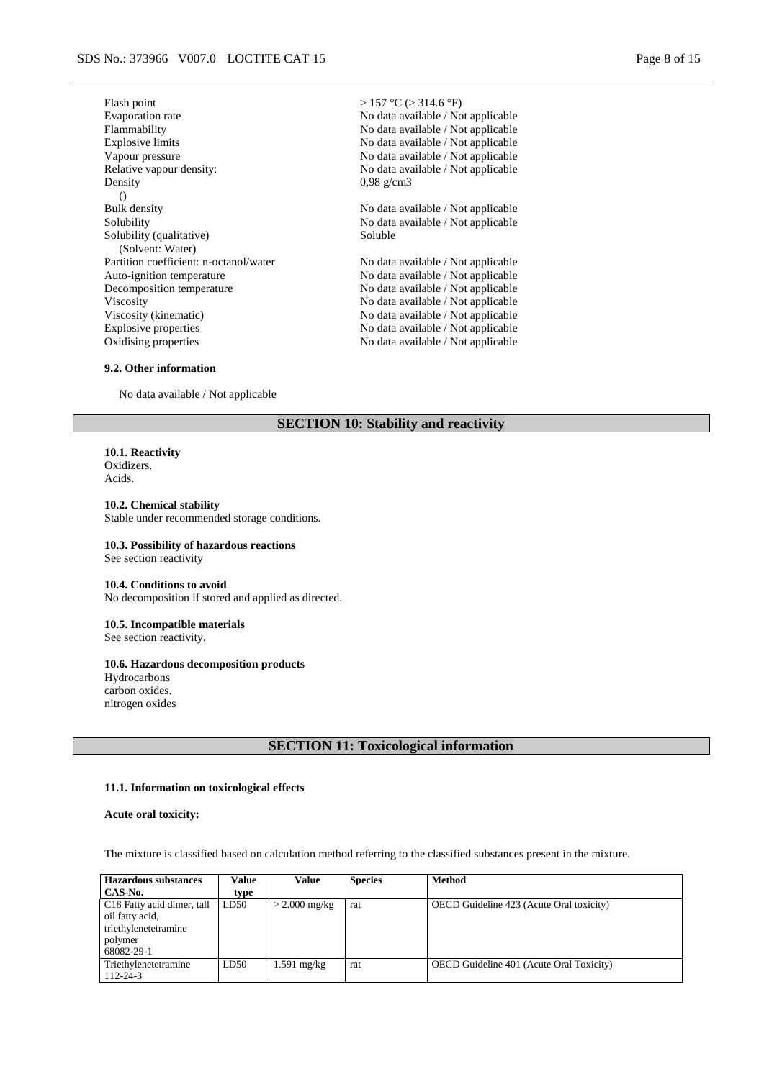| Flash point                            | > 157 °C (> 314.6 °F)              |
|----------------------------------------|------------------------------------|
| Evaporation rate                       | No data available / Not applicable |
| Flammability                           | No data available / Not applicable |
| <b>Explosive limits</b>                | No data available / Not applicable |
| Vapour pressure                        | No data available / Not applicable |
| Relative vapour density:               | No data available / Not applicable |
| Density                                | $0.98$ g/cm3                       |
| $\left( \right)$                       |                                    |
| <b>Bulk density</b>                    | No data available / Not applicable |
| Solubility                             | No data available / Not applicable |
| Solubility (qualitative)               | Soluble                            |
| (Solvent: Water)                       |                                    |
| Partition coefficient: n-octanol/water | No data available / Not applicable |
| Auto-ignition temperature              | No data available / Not applicable |
| Decomposition temperature              | No data available / Not applicable |
| Viscosity                              | No data available / Not applicable |
| Viscosity (kinematic)                  | No data available / Not applicable |
| Explosive properties                   | No data available / Not applicable |
| Oxidising properties                   | No data available / Not applicable |

#### **9.2. Other information**

No data available / Not applicable

#### **SECTION 10: Stability and reactivity**

**10.1. Reactivity** Oxidizers. Acids.

**10.2. Chemical stability** Stable under recommended storage conditions.

# **10.3. Possibility of hazardous reactions**

See section reactivity

#### **10.4. Conditions to avoid** No decomposition if stored and applied as directed.

**10.5. Incompatible materials** See section reactivity.

#### **10.6. Hazardous decomposition products**

Hydrocarbons carbon oxides. nitrogen oxides

### **SECTION 11: Toxicological information**

#### **11.1. Information on toxicological effects**

**Acute oral toxicity:**

The mixture is classified based on calculation method referring to the classified substances present in the mixture.

| <b>Hazardous substances</b>            | Value | Value           | <b>Species</b> | <b>Method</b>                                   |
|----------------------------------------|-------|-----------------|----------------|-------------------------------------------------|
| CAS-No.                                | type  |                 |                |                                                 |
| C <sub>18</sub> Fatty acid dimer, tall | LD50  | $>$ 2.000 mg/kg | rat            | OECD Guideline 423 (Acute Oral toxicity)        |
| oil fatty acid,                        |       |                 |                |                                                 |
| triethylenetetramine                   |       |                 |                |                                                 |
| polymer                                |       |                 |                |                                                 |
| 68082-29-1                             |       |                 |                |                                                 |
| Triethylenetetramine                   | LD50  | $1.591$ mg/kg   | rat            | <b>OECD</b> Guideline 401 (Acute Oral Toxicity) |
| $112 - 24 - 3$                         |       |                 |                |                                                 |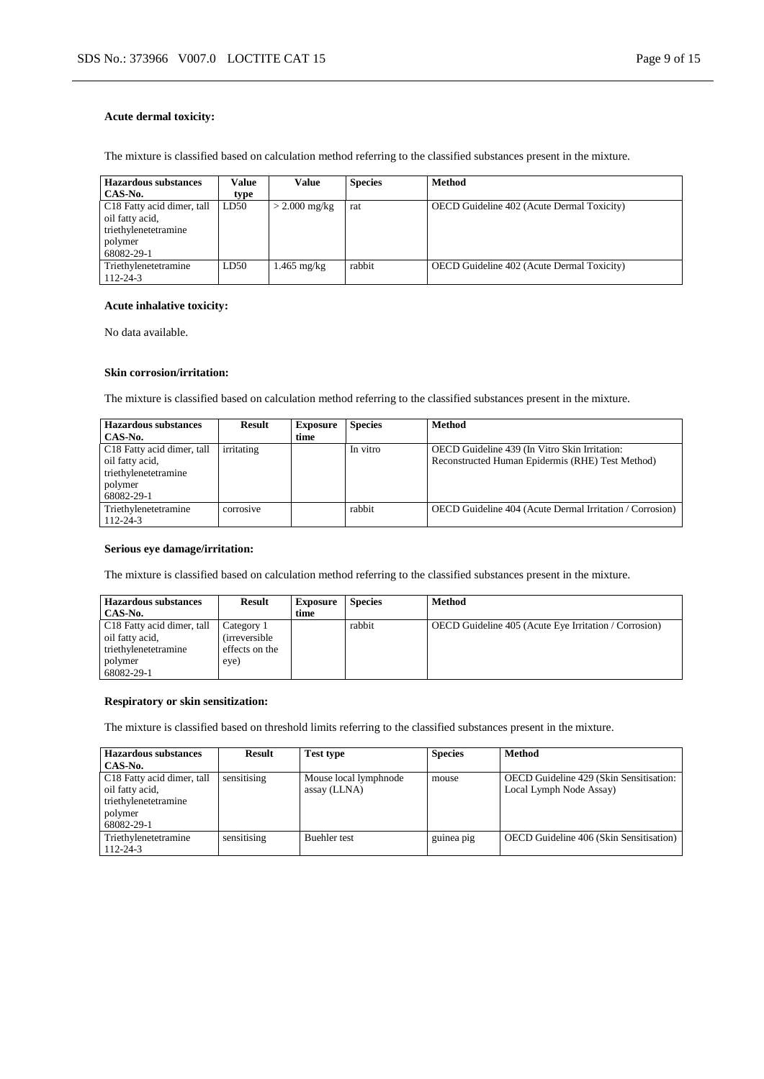#### **Acute dermal toxicity:**

The mixture is classified based on calculation method referring to the classified substances present in the mixture.

| <b>Hazardous substances</b><br>CAS-No.                                                                     | Value<br>type | Value           | <b>Species</b> | <b>Method</b>                                     |
|------------------------------------------------------------------------------------------------------------|---------------|-----------------|----------------|---------------------------------------------------|
| C <sub>18</sub> Fatty acid dimer, tall<br>oil fatty acid,<br>triethylenetetramine<br>polymer<br>68082-29-1 | LD50          | $>$ 2.000 mg/kg | rat            | <b>OECD</b> Guideline 402 (Acute Dermal Toxicity) |
| Triethylenetetramine<br>112-24-3                                                                           | LD50          | 1.465 mg/kg     | rabbit         | <b>OECD</b> Guideline 402 (Acute Dermal Toxicity) |

### **Acute inhalative toxicity:**

No data available.

#### **Skin corrosion/irritation:**

The mixture is classified based on calculation method referring to the classified substances present in the mixture.

| <b>Hazardous substances</b> | <b>Result</b> | <b>Exposure</b> | <b>Species</b> | <b>Method</b>                                            |
|-----------------------------|---------------|-----------------|----------------|----------------------------------------------------------|
| CAS-No.                     |               | time            |                |                                                          |
| C18 Fatty acid dimer, tall  | irritating    |                 | In vitro       | OECD Guideline 439 (In Vitro Skin Irritation:            |
| oil fatty acid,             |               |                 |                | Reconstructed Human Epidermis (RHE) Test Method)         |
| triethylenetetramine        |               |                 |                |                                                          |
| polymer                     |               |                 |                |                                                          |
| 68082-29-1                  |               |                 |                |                                                          |
| Triethylenetetramine        | corrosive     |                 | rabbit         | OECD Guideline 404 (Acute Dermal Irritation / Corrosion) |
| $112 - 24 - 3$              |               |                 |                |                                                          |

### **Serious eye damage/irritation:**

The mixture is classified based on calculation method referring to the classified substances present in the mixture.

| Hazardous substances                                                                         | <b>Result</b>                                                 | <b>Exposure</b> | <b>Species</b> | <b>Method</b>                                         |
|----------------------------------------------------------------------------------------------|---------------------------------------------------------------|-----------------|----------------|-------------------------------------------------------|
| CAS-No.                                                                                      |                                                               | time            |                |                                                       |
| C <sub>18</sub> Fatty acid dimer, tall<br>oil fatty acid,<br>triethylenetetramine<br>polymer | Category 1<br><i>(irreversible)</i><br>effects on the<br>eye) |                 | rabbit         | OECD Guideline 405 (Acute Eye Irritation / Corrosion) |
| 68082-29-1                                                                                   |                                                               |                 |                |                                                       |

#### **Respiratory or skin sensitization:**

The mixture is classified based on threshold limits referring to the classified substances present in the mixture.

| <b>Hazardous substances</b>            | <b>Result</b> | <b>Test type</b>      | <b>Species</b> | <b>Method</b>                                  |
|----------------------------------------|---------------|-----------------------|----------------|------------------------------------------------|
| CAS-No.                                |               |                       |                |                                                |
| C <sub>18</sub> Fatty acid dimer, tall | sensitising   | Mouse local lymphnode | mouse          | OECD Guideline 429 (Skin Sensitisation:        |
| oil fatty acid.                        |               | assay (LLNA)          |                | Local Lymph Node Assay)                        |
| triethylenetetramine                   |               |                       |                |                                                |
| polymer                                |               |                       |                |                                                |
| 68082-29-1                             |               |                       |                |                                                |
| Triethylenetetramine                   | sensitising   | <b>Buehler</b> test   | guinea pig     | <b>OECD</b> Guideline 406 (Skin Sensitisation) |
| $112 - 24 - 3$                         |               |                       |                |                                                |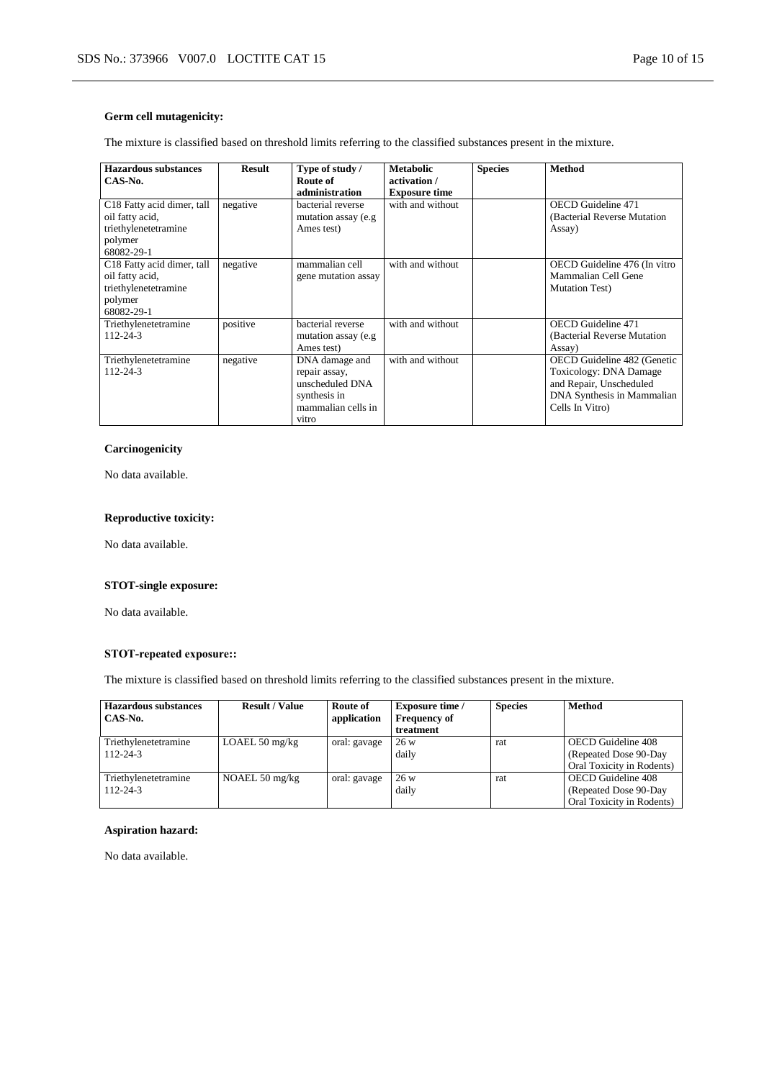### **Germ cell mutagenicity:**

The mixture is classified based on threshold limits referring to the classified substances present in the mixture.

| Hazardous substances<br>CAS-No.                                                                | Result   | Type of study /<br>Route of<br>administration                                                     | <b>Metabolic</b><br>activation /<br><b>Exposure time</b> | <b>Species</b> | <b>Method</b>                                                                                                                     |
|------------------------------------------------------------------------------------------------|----------|---------------------------------------------------------------------------------------------------|----------------------------------------------------------|----------------|-----------------------------------------------------------------------------------------------------------------------------------|
| C18 Fatty acid dimer, tall<br>oil fatty acid,<br>triethylenetetramine<br>polymer<br>68082-29-1 | negative | bacterial reverse<br>mutation assay (e.g.<br>Ames test)                                           | with and without                                         |                | <b>OECD</b> Guideline 471<br>(Bacterial Reverse Mutation)<br>Assay)                                                               |
| C18 Fatty acid dimer, tall<br>oil fatty acid,<br>triethylenetetramine<br>polymer<br>68082-29-1 | negative | mammalian cell<br>gene mutation assay                                                             | with and without                                         |                | OECD Guideline 476 (In vitro<br>Mammalian Cell Gene<br><b>Mutation Test</b> )                                                     |
| Triethylenetetramine<br>$112 - 24 - 3$                                                         | positive | bacterial reverse<br>mutation assay (e.g.<br>Ames test)                                           | with and without                                         |                | <b>OECD</b> Guideline 471<br>(Bacterial Reverse Mutation)<br>Assay)                                                               |
| Triethylenetetramine<br>$112 - 24 - 3$                                                         | negative | DNA damage and<br>repair assay,<br>unscheduled DNA<br>synthesis in<br>mammalian cells in<br>vitro | with and without                                         |                | OECD Guideline 482 (Genetic<br>Toxicology: DNA Damage<br>and Repair, Unscheduled<br>DNA Synthesis in Mammalian<br>Cells In Vitro) |

#### **Carcinogenicity**

No data available.

### **Reproductive toxicity:**

No data available.

### **STOT-single exposure:**

No data available.

# **STOT-repeated exposure::**

The mixture is classified based on threshold limits referring to the classified substances present in the mixture.

| Hazardous substances<br>CAS-No.        | <b>Result / Value</b>    | Route of<br>application | <b>Exposure time</b> /<br><b>Frequency of</b><br>treatment | <b>Species</b> | <b>Method</b>                                                                    |
|----------------------------------------|--------------------------|-------------------------|------------------------------------------------------------|----------------|----------------------------------------------------------------------------------|
| Triethylenetetramine<br>$112 - 24 - 3$ | LOAEL $50 \text{ mg/kg}$ | oral: gavage            | 26 w<br>daily                                              | rat            | <b>OECD</b> Guideline 408<br>(Repeated Dose 90-Day)<br>Oral Toxicity in Rodents) |
| Triethylenetetramine<br>$112 - 24 - 3$ | NOAEL $50 \text{ mg/kg}$ | oral: gavage            | 26 w<br>daily                                              | rat            | <b>OECD</b> Guideline 408<br>(Repeated Dose 90-Day)<br>Oral Toxicity in Rodents) |

#### **Aspiration hazard:**

No data available.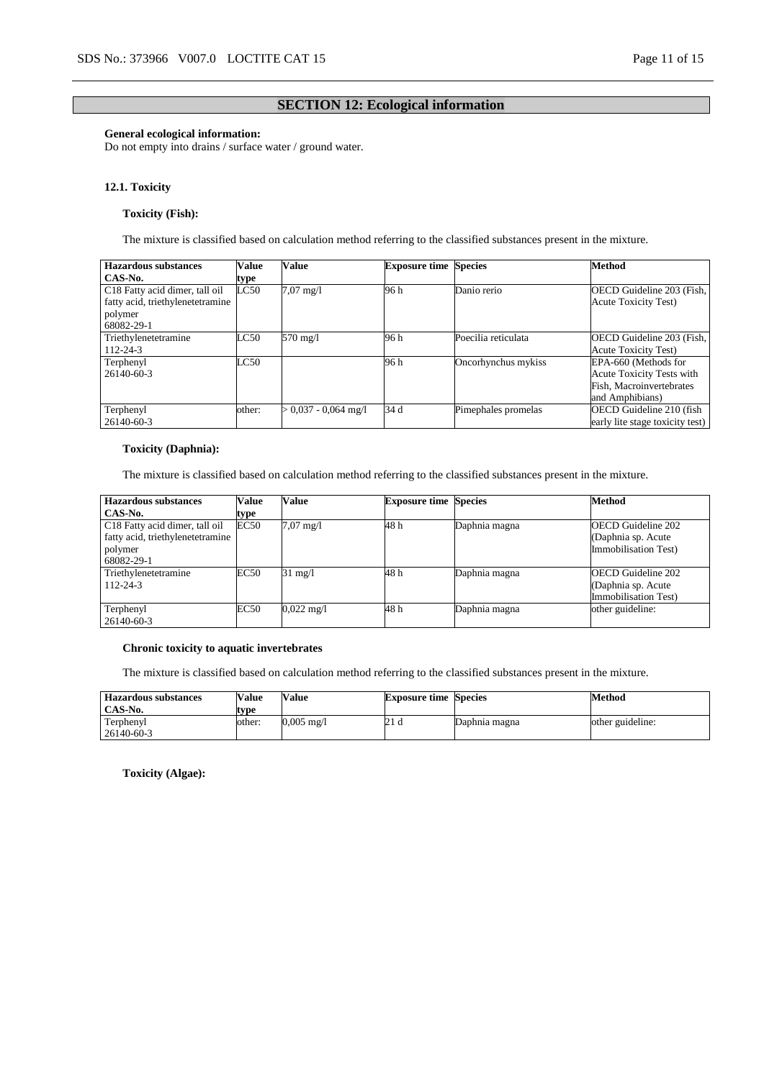### **SECTION 12: Ecological information**

### **General ecological information:**

Do not empty into drains / surface water / ground water.

#### **12.1. Toxicity**

### **Toxicity (Fish):**

The mixture is classified based on calculation method referring to the classified substances present in the mixture.

| <b>Hazardous substances</b>      | Value  | Value                | <b>Exposure time Species</b> |                     | <b>Method</b>                   |
|----------------------------------|--------|----------------------|------------------------------|---------------------|---------------------------------|
| CAS-No.                          | type   |                      |                              |                     |                                 |
| C18 Fatty acid dimer, tall oil   | LC50   | $7.07 \text{ mg}/1$  | 96 h                         | Danio rerio         | OECD Guideline 203 (Fish,       |
| fatty acid, triethylenetetramine |        |                      |                              |                     | <b>Acute Toxicity Test)</b>     |
| polymer                          |        |                      |                              |                     |                                 |
| 68082-29-1                       |        |                      |                              |                     |                                 |
| Triethylenetetramine             | LC50   | 570 mg/l             | 96 h                         | Poecilia reticulata | OECD Guideline 203 (Fish,       |
| 112-24-3                         |        |                      |                              |                     | <b>Acute Toxicity Test)</b>     |
| Terphenyl                        | LC50   |                      | 96 h                         | Oncorhynchus mykiss | EPA-660 (Methods for            |
| 26140-60-3                       |        |                      |                              |                     | Acute Toxicity Tests with       |
|                                  |        |                      |                              |                     | Fish, Macroinvertebrates        |
|                                  |        |                      |                              |                     | and Amphibians)                 |
| Terphenyl                        | other: | $0.037 - 0.064$ mg/l | 34 d                         | Pimephales promelas | OECD Guideline 210 (fish        |
| 26140-60-3                       |        |                      |                              |                     | early lite stage toxicity test) |

#### **Toxicity (Daphnia):**

The mixture is classified based on calculation method referring to the classified substances present in the mixture.

| <b>Hazardous substances</b>                                                                 | Value | Value                | <b>Exposure time Species</b> |               | <b>Method</b>                                                           |
|---------------------------------------------------------------------------------------------|-------|----------------------|------------------------------|---------------|-------------------------------------------------------------------------|
| CAS-No.                                                                                     | type  |                      |                              |               |                                                                         |
| C18 Fatty acid dimer, tall oil<br>fatty acid, triethylenetetramine<br>polymer<br>68082-29-1 | EC50  | $7.07 \text{ mg}/1$  | 48 h                         | Daphnia magna | OECD Guideline 202<br>(Daphnia sp. Acute)<br>Immobilisation Test)       |
| Triethylenetetramine<br>$112 - 24 - 3$                                                      | EC50  | $31 \text{ mg}/1$    | 48 h                         | Daphnia magna | <b>OECD</b> Guideline 202<br>(Daphnia sp. Acute<br>Immobilisation Test) |
| Terphenyl<br>26140-60-3                                                                     | EC50  | $0.022 \text{ mg}/1$ | 48 h                         | Daphnia magna | other guideline:                                                        |

#### **Chronic toxicity to aquatic invertebrates**

The mixture is classified based on calculation method referring to the classified substances present in the mixture.

| <b>Hazardous substances</b><br>CAS-No. | Value<br>tvpe | <b>Value</b>         | <b>Exposure time Species</b> |               | Method           |
|----------------------------------------|---------------|----------------------|------------------------------|---------------|------------------|
| Terphenyl                              | other:        | $0,005 \text{ mg/l}$ | 21 d                         | Daphnia magna | other guideline: |
| 26140-60-3                             |               |                      |                              |               |                  |

**Toxicity (Algae):**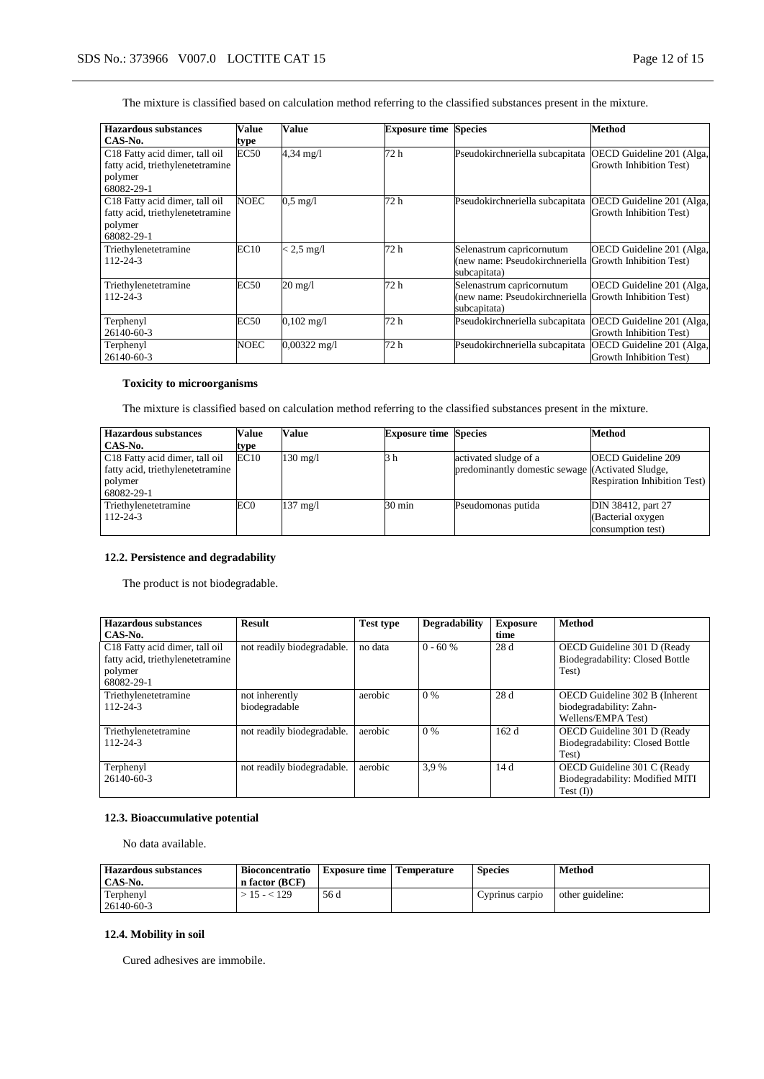The mixture is classified based on calculation method referring to the classified substances present in the mixture.

| <b>Hazardous substances</b>                 | Value       | Value                | <b>Exposure time</b> | <b>Species</b>                                            | Method                    |
|---------------------------------------------|-------------|----------------------|----------------------|-----------------------------------------------------------|---------------------------|
| CAS-No.                                     | type        |                      |                      |                                                           |                           |
| $\overline{C18}$ Fatty acid dimer, tall oil | EC50        | $4,34 \text{ mg}/1$  | 72 h                 | Pseudokirchneriella subcapitata                           | OECD Guideline 201 (Alga, |
| fatty acid, triethylenetetramine            |             |                      |                      |                                                           | Growth Inhibition Test)   |
| polymer                                     |             |                      |                      |                                                           |                           |
| 68082-29-1                                  |             |                      |                      |                                                           |                           |
| C18 Fatty acid dimer, tall oil              | NOEC        | $0.5 \text{ mg}/1$   | 72 h                 | Pseudokirchneriella subcapitata                           | OECD Guideline 201 (Alga, |
| fatty acid, triethylenetetramine            |             |                      |                      |                                                           | Growth Inhibition Test)   |
| polymer                                     |             |                      |                      |                                                           |                           |
| 68082-29-1                                  |             |                      |                      |                                                           |                           |
| Triethylenetetramine                        | EC10        | $< 2.5$ mg/l         | 72 h                 | Selenastrum capricornutum                                 | OECD Guideline 201 (Alga, |
| $112 - 24 - 3$                              |             |                      |                      | (new name: Pseudokirchneriella Growth Inhibition Test)    |                           |
|                                             |             |                      |                      | subcapitata)                                              |                           |
| Triethylenetetramine                        | <b>EC50</b> | 20 mg/l              | 72 h                 | Selenastrum capricornutum                                 | OECD Guideline 201 (Alga, |
| $112 - 24 - 3$                              |             |                      |                      | (new name: Pseudokirchneriella Growth Inhibition Test)    |                           |
|                                             |             |                      |                      | subcapitata)                                              |                           |
| Terphenyl                                   | <b>EC50</b> | $0,102 \text{ mg}/1$ | 72 h                 | Pseudokirchneriella subcapitata                           | OECD Guideline 201 (Alga, |
| 26140-60-3                                  |             |                      |                      |                                                           | Growth Inhibition Test)   |
| Terphenyl                                   | NOEC        | 0,00322 mg/l         | 72 h                 | Pseudokirchneriella subcapitata OECD Guideline 201 (Alga, |                           |
| 26140-60-3                                  |             |                      |                      |                                                           | Growth Inhibition Test)   |

### **Toxicity to microorganisms**

The mixture is classified based on calculation method referring to the classified substances present in the mixture.

| <b>Hazardous substances</b>      | Value | Value              | <b>Exposure time Species</b> |                                                  | Method                              |
|----------------------------------|-------|--------------------|------------------------------|--------------------------------------------------|-------------------------------------|
| CAS-No.                          | type  |                    |                              |                                                  |                                     |
| C18 Fatty acid dimer, tall oil   | EC10  | $130 \text{ mg}/1$ | 3 h                          | activated sludge of a                            | <b>OECD</b> Guideline 209           |
| fatty acid, triethylenetetramine |       |                    |                              | predominantly domestic sewage (Activated Sludge, |                                     |
| polymer                          |       |                    |                              |                                                  | <b>Respiration Inhibition Test)</b> |
| 68082-29-1                       |       |                    |                              |                                                  |                                     |
| Triethylenetetramine             | EC0   | $137 \text{ mg}/1$ | $30 \text{ min}$             | Pseudomonas putida                               | DIN 38412, part 27                  |
| $112 - 24 - 3$                   |       |                    |                              |                                                  | (Bacterial oxygen                   |
|                                  |       |                    |                              |                                                  | consumption test)                   |

### **12.2. Persistence and degradability**

The product is not biodegradable.

| Hazardous substances<br>CAS-No.                                                             | <b>Result</b>                   | <b>Test type</b> | <b>Degradability</b> | <b>Exposure</b><br>time | <b>Method</b>                                                                   |
|---------------------------------------------------------------------------------------------|---------------------------------|------------------|----------------------|-------------------------|---------------------------------------------------------------------------------|
| C18 Fatty acid dimer, tall oil<br>fatty acid, triethylenetetramine<br>polymer<br>68082-29-1 | not readily biodegradable.      | no data          | $0 - 60 %$           | 28 d                    | OECD Guideline 301 D (Ready<br>Biodegradability: Closed Bottle<br>Test)         |
| Triethylenetetramine<br>$112 - 24 - 3$                                                      | not inherently<br>biodegradable | aerobic          | $0\%$                | 28d                     | OECD Guideline 302 B (Inherent<br>biodegradability: Zahn-<br>Wellens/EMPA Test) |
| Triethylenetetramine<br>$112 - 24 - 3$                                                      | not readily biodegradable.      | aerobic          | 0%                   | 162d                    | OECD Guideline 301 D (Ready<br>Biodegradability: Closed Bottle<br>Test)         |
| Terphenyl<br>26140-60-3                                                                     | not readily biodegradable.      | aerobic          | 3.9%                 | 14d                     | OECD Guideline 301 C (Ready<br>Biodegradability: Modified MITI<br>Test (I))     |

### **12.3. Bioaccumulative potential**

No data available.

| <b>Hazardous substances</b><br>CAS-No. | <b>Bioconcentratio</b><br>n factor (BCF) | <b>Exposure time   Temperature</b> | <b>Species</b>  | <b>Method</b>    |
|----------------------------------------|------------------------------------------|------------------------------------|-----------------|------------------|
| Terphenyl<br>26140-60-3                | $>15 - 129$                              | 56 d                               | Cyprinus carpio | other guideline: |

### **12.4. Mobility in soil**

Cured adhesives are immobile.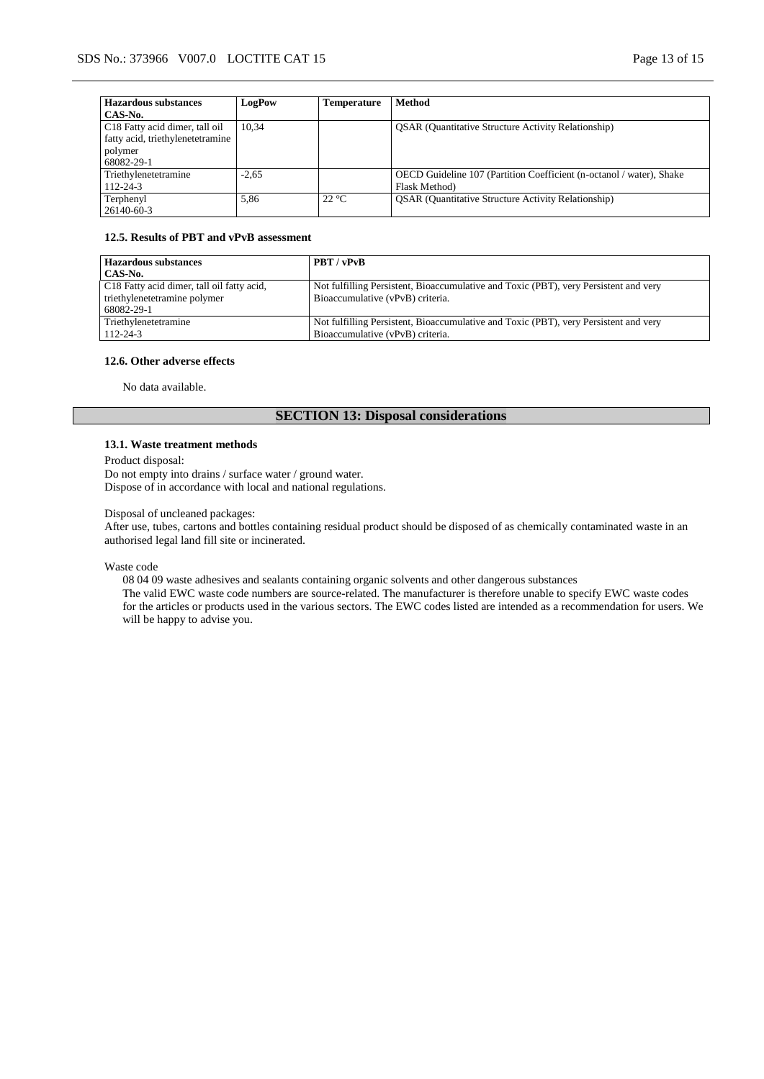| <b>Hazardous substances</b>      | LogPow  | <b>Temperature</b> | <b>Method</b>                                                        |
|----------------------------------|---------|--------------------|----------------------------------------------------------------------|
| CAS-No.                          |         |                    |                                                                      |
| C18 Fatty acid dimer, tall oil   | 10.34   |                    | <b>QSAR</b> (Quantitative Structure Activity Relationship)           |
| fatty acid, triethylenetetramine |         |                    |                                                                      |
| polymer                          |         |                    |                                                                      |
| 68082-29-1                       |         |                    |                                                                      |
| Triethylenetetramine             | $-2.65$ |                    | OECD Guideline 107 (Partition Coefficient (n-octanol / water), Shake |
| $112 - 24 - 3$                   |         |                    | Flask Method)                                                        |
| Terphenyl                        | 5.86    | $22^{\circ}C$      | <b>OSAR</b> (Quantitative Structure Activity Relationship)           |
| 26140-60-3                       |         |                    |                                                                      |

#### **12.5. Results of PBT and vPvB assessment**

| <b>Hazardous substances</b><br>CAS-No.     | PBT / vPvB                                                                           |
|--------------------------------------------|--------------------------------------------------------------------------------------|
|                                            |                                                                                      |
| C18 Fatty acid dimer, tall oil fatty acid, | Not fulfilling Persistent, Bioaccumulative and Toxic (PBT), very Persistent and very |
| triethylenetetramine polymer               | Bioaccumulative (vPvB) criteria.                                                     |
| 68082-29-1                                 |                                                                                      |
| Triethylenetetramine                       | Not fulfilling Persistent, Bioaccumulative and Toxic (PBT), very Persistent and very |
| $112 - 24 - 3$                             | Bioaccumulative (vPvB) criteria.                                                     |

# **12.6. Other adverse effects**

No data available.

# **SECTION 13: Disposal considerations**

#### **13.1. Waste treatment methods**

Product disposal:

Do not empty into drains / surface water / ground water. Dispose of in accordance with local and national regulations.

Disposal of uncleaned packages:

After use, tubes, cartons and bottles containing residual product should be disposed of as chemically contaminated waste in an authorised legal land fill site or incinerated.

Waste code

08 04 09 waste adhesives and sealants containing organic solvents and other dangerous substances

The valid EWC waste code numbers are source-related. The manufacturer is therefore unable to specify EWC waste codes for the articles or products used in the various sectors. The EWC codes listed are intended as a recommendation for users. We will be happy to advise you.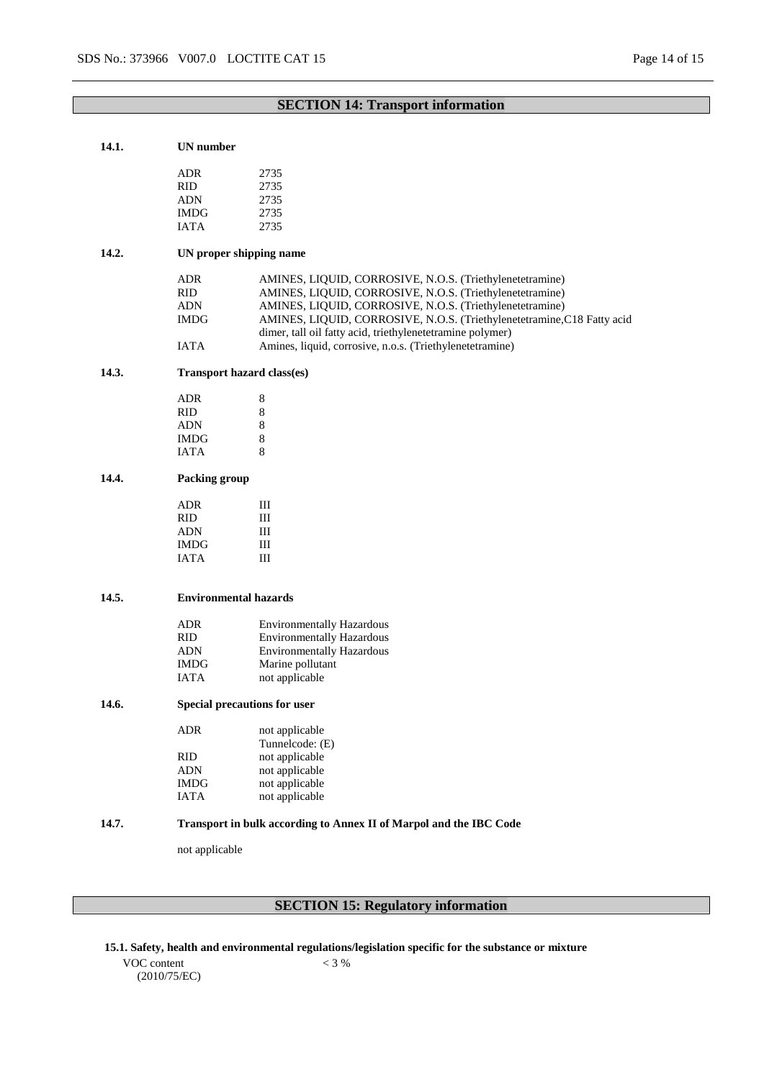### **SECTION 14: Transport information**

### **14.1. UN number**

| ADR         | 2735 |
|-------------|------|
| <b>RID</b>  | 2735 |
| ADN         | 2735 |
| <b>IMDG</b> | 2735 |
| <b>JATA</b> | 2735 |
|             |      |

### **14.2. UN proper shipping name**

| ADR  | AMINES, LIQUID, CORROSIVE, N.O.S. (Triethylenetetramine)                |
|------|-------------------------------------------------------------------------|
| RID. | AMINES, LIQUID, CORROSIVE, N.O.S. (Triethylenetetramine)                |
| ADN  | AMINES, LIQUID, CORROSIVE, N.O.S. (Triethylenetetramine)                |
| IMDG | AMINES, LIQUID, CORROSIVE, N.O.S. (Triethylenetetramine, C18 Fatty acid |
|      | dimer, tall oil fatty acid, triethylenetetramine polymer)               |
| IATA | Amines, liquid, corrosive, n.o.s. (Triethylenetetramine)                |

### **14.3. Transport hazard class(es)**

| ADR  | 8 |
|------|---|
| RID  | 8 |
| ADN  | 8 |
| IMDG | 8 |
| IATA | 8 |

#### **14.4. Packing group**

| ADR         | Ш |
|-------------|---|
| <b>RID</b>  | Ш |
| <b>ADN</b>  | Ш |
| <b>IMDG</b> | Ш |
| <b>IATA</b> | Ш |

#### **14.5. Environmental hazards**

| ADR         | <b>Environmentally Hazardous</b> |
|-------------|----------------------------------|
| <b>RID</b>  | <b>Environmentally Hazardous</b> |
| <b>ADN</b>  | <b>Environmentally Hazardous</b> |
| IMDG        | Marine pollutant                 |
| <b>IATA</b> | not applicable                   |

#### **14.6. Special precautions for user**

| <b>ADR</b>  | not applicable  |
|-------------|-----------------|
|             | Tunnelcode: (E) |
| <b>RID</b>  | not applicable  |
| <b>ADN</b>  | not applicable  |
| <b>IMDG</b> | not applicable  |
| <b>JATA</b> | not applicable  |
|             |                 |

### **14.7. Transport in bulk according to Annex II of Marpol and the IBC Code**

not applicable

# **SECTION 15: Regulatory information**

**15.1. Safety, health and environmental regulations/legislation specific for the substance or mixture**

VOC content (2010/75/EC)  $< 3 %$